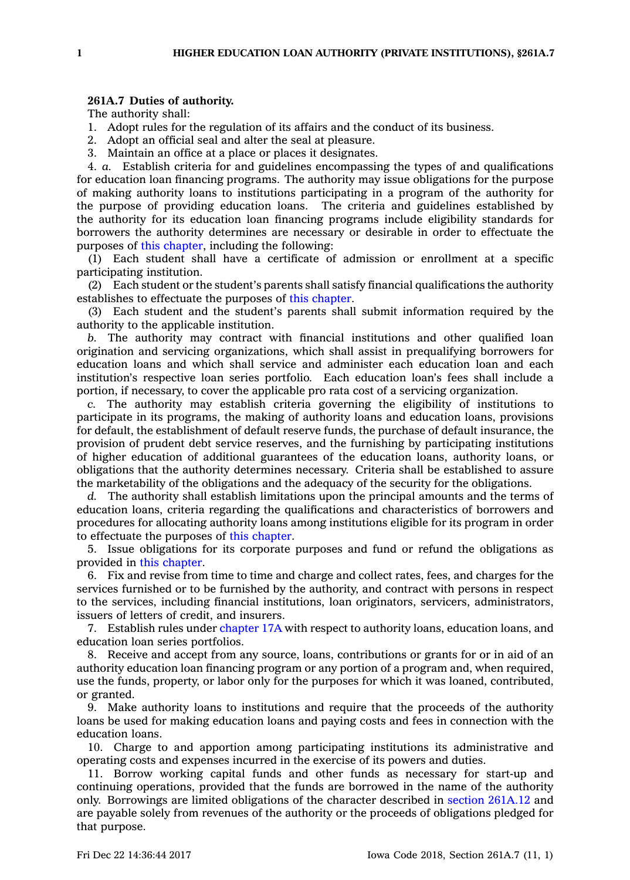## **261A.7 Duties of authority.**

The authority shall:

- 1. Adopt rules for the regulation of its affairs and the conduct of its business.
- 2. Adopt an official seal and alter the seal at pleasure.
- 3. Maintain an office at <sup>a</sup> place or places it designates.

4. *a.* Establish criteria for and guidelines encompassing the types of and qualifications for education loan financing programs. The authority may issue obligations for the purpose of making authority loans to institutions participating in <sup>a</sup> program of the authority for the purpose of providing education loans. The criteria and guidelines established by the authority for its education loan financing programs include eligibility standards for borrowers the authority determines are necessary or desirable in order to effectuate the purposes of this [chapter](https://www.legis.iowa.gov/docs/code//261A.pdf), including the following:

(1) Each student shall have <sup>a</sup> certificate of admission or enrollment at <sup>a</sup> specific participating institution.

(2) Each student or the student's parents shall satisfy financial qualifications the authority establishes to effectuate the purposes of this [chapter](https://www.legis.iowa.gov/docs/code//261A.pdf).

(3) Each student and the student's parents shall submit information required by the authority to the applicable institution.

*b.* The authority may contract with financial institutions and other qualified loan origination and servicing organizations, which shall assist in prequalifying borrowers for education loans and which shall service and administer each education loan and each institution's respective loan series portfolio. Each education loan's fees shall include <sup>a</sup> portion, if necessary, to cover the applicable pro rata cost of <sup>a</sup> servicing organization.

*c.* The authority may establish criteria governing the eligibility of institutions to participate in its programs, the making of authority loans and education loans, provisions for default, the establishment of default reserve funds, the purchase of default insurance, the provision of prudent debt service reserves, and the furnishing by participating institutions of higher education of additional guarantees of the education loans, authority loans, or obligations that the authority determines necessary. Criteria shall be established to assure the marketability of the obligations and the adequacy of the security for the obligations.

*d.* The authority shall establish limitations upon the principal amounts and the terms of education loans, criteria regarding the qualifications and characteristics of borrowers and procedures for allocating authority loans among institutions eligible for its program in order to effectuate the purposes of this [chapter](https://www.legis.iowa.gov/docs/code//261A.pdf).

5. Issue obligations for its corporate purposes and fund or refund the obligations as provided in this [chapter](https://www.legis.iowa.gov/docs/code//261A.pdf).

6. Fix and revise from time to time and charge and collect rates, fees, and charges for the services furnished or to be furnished by the authority, and contract with persons in respect to the services, including financial institutions, loan originators, servicers, administrators, issuers of letters of credit, and insurers.

7. Establish rules under [chapter](https://www.legis.iowa.gov/docs/code//17A.pdf) 17A with respect to authority loans, education loans, and education loan series portfolios.

8. Receive and accept from any source, loans, contributions or grants for or in aid of an authority education loan financing program or any portion of <sup>a</sup> program and, when required, use the funds, property, or labor only for the purposes for which it was loaned, contributed, or granted.

9. Make authority loans to institutions and require that the proceeds of the authority loans be used for making education loans and paying costs and fees in connection with the education loans.

10. Charge to and apportion among participating institutions its administrative and operating costs and expenses incurred in the exercise of its powers and duties.

11. Borrow working capital funds and other funds as necessary for start-up and continuing operations, provided that the funds are borrowed in the name of the authority only. Borrowings are limited obligations of the character described in section [261A.12](https://www.legis.iowa.gov/docs/code/261A.12.pdf) and are payable solely from revenues of the authority or the proceeds of obligations pledged for that purpose.